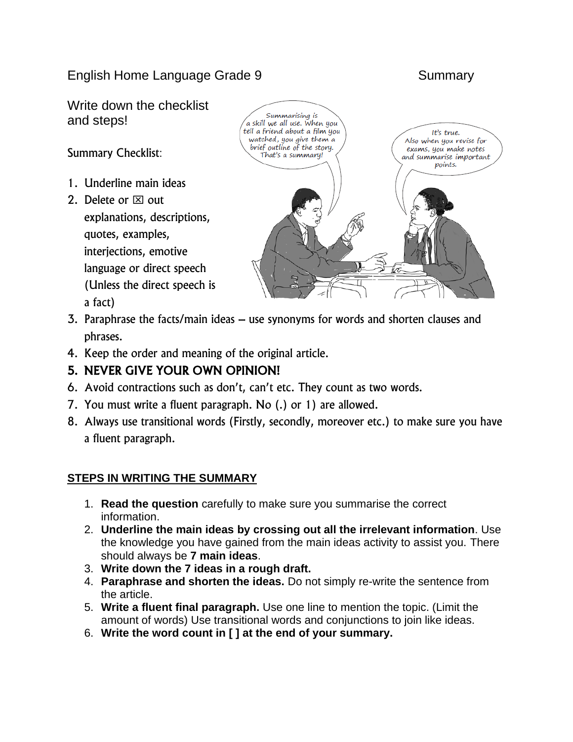English Home Language Grade 9 Summary

Write down the checklist and steps!

Summary Checklist:

- 1. Underline main ideas
- 2. Delete or  $\boxtimes$  out explanations, descriptions, quotes, examples, interjections, emotive language or direct speech (Unless the direct speech is a fact)



- 3. Paraphrase the facts/main ideas use synonyms for words and shorten clauses and phrases.
- 4. Keep the order and meaning of the original article.

# 5. NEVER GIVE YOUR OWN OPINION!

- 6. Avoid contractions such as don't, can't etc. They count as two words.
- 7. You must write a fluent paragraph. No (.) or 1) are allowed.
- 8. Always use transitional words (Firstly, secondly, moreover etc.) to make sure you have a fluent paragraph.

## **STEPS IN WRITING THE SUMMARY**

- 1. **Read the question** carefully to make sure you summarise the correct information.
- 2. **Underline the main ideas by crossing out all the irrelevant information**. Use the knowledge you have gained from the main ideas activity to assist you. There should always be **7 main ideas**.
- 3. **Write down the 7 ideas in a rough draft.**
- 4. **Paraphrase and shorten the ideas.** Do not simply re-write the sentence from the article.
- 5. **Write a fluent final paragraph.** Use one line to mention the topic. (Limit the amount of words) Use transitional words and conjunctions to join like ideas.
- 6. **Write the word count in [ ] at the end of your summary.**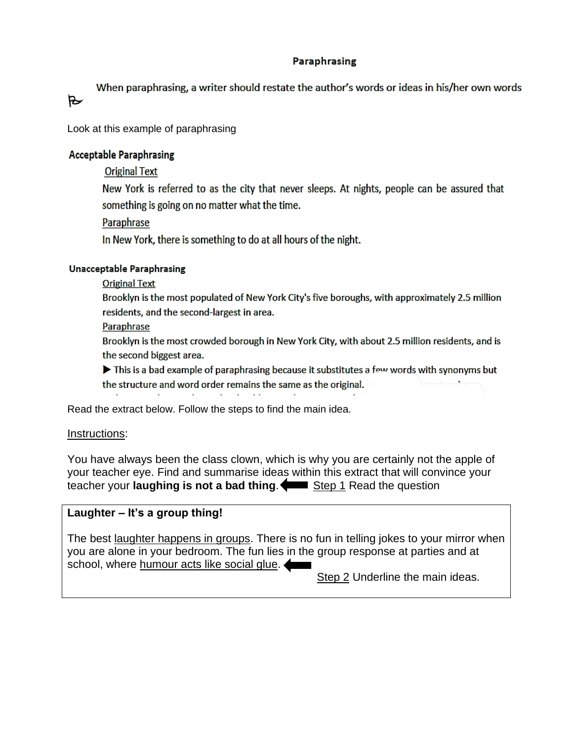#### **Paraphrasing**

When paraphrasing, a writer should restate the author's words or ideas in his/her own words

Look at this example of paraphrasing

## **Acceptable Paraphrasing**

 $\triangleright$ 

**Original Text** 

New York is referred to as the city that never sleeps. At nights, people can be assured that something is going on no matter what the time.

## Paraphrase

In New York, there is something to do at all hours of the night.

#### **Unacceptable Paraphrasing**

**Original Text** 

Brooklyn is the most populated of New York City's five boroughs, with approximately 2.5 million residents, and the second-largest in area.

Paraphrase

Brooklyn is the most crowded borough in New York City, with about 2.5 million residents, and is the second biggest area.

 $\blacktriangleright$  This is a bad example of paraphrasing because it substitutes a few words with synonyms but the structure and word order remains the same as the original.

Read the extract below. Follow the steps to find the main idea.

## Instructions:

You have always been the class clown, which is why you are certainly not the apple of your teacher eye. Find and summarise ideas within this extract that will convince your teacher your **laughing is not a bad thing.** Step 1 Read the question

## **Laughter – It's a group thing!**

The best laughter happens in groups. There is no fun in telling jokes to your mirror when you are alone in your bedroom. The fun lies in the group response at parties and at school, where humour acts like social glue.

Step 2 Underline the main ideas.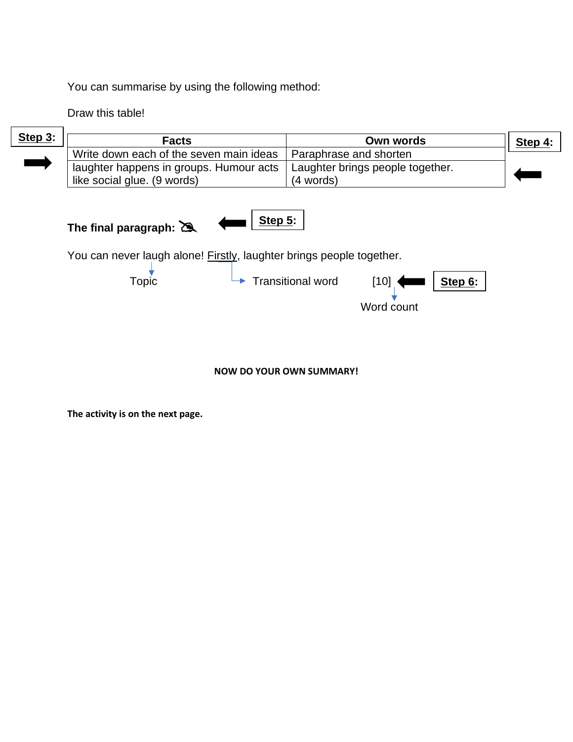You can summarise by using the following method:

Draw this table!

 $\overline{\phantom{a}}$ 

 $\Gamma$ 

| Step $3:$ | <b>Facts</b>                                                                                                                                                                                    | Own words                        | Step 4: |
|-----------|-------------------------------------------------------------------------------------------------------------------------------------------------------------------------------------------------|----------------------------------|---------|
|           | Write down each of the seven main ideas                                                                                                                                                         | Paraphrase and shorten           |         |
|           | laughter happens in groups. Humour acts                                                                                                                                                         | Laughter brings people together. |         |
|           | like social glue. (9 words)                                                                                                                                                                     | (4 words)                        |         |
|           | Step $5:$<br>The final paragraph: $\sum$<br>You can never laugh alone! Firstly, laughter brings people together.<br><b>Topic</b><br><b>Transitional word</b><br>Step 6:<br>$[10]$<br>Word count |                                  |         |

#### **NOW DO YOUR OWN SUMMARY!**

**The activity is on the next page.**